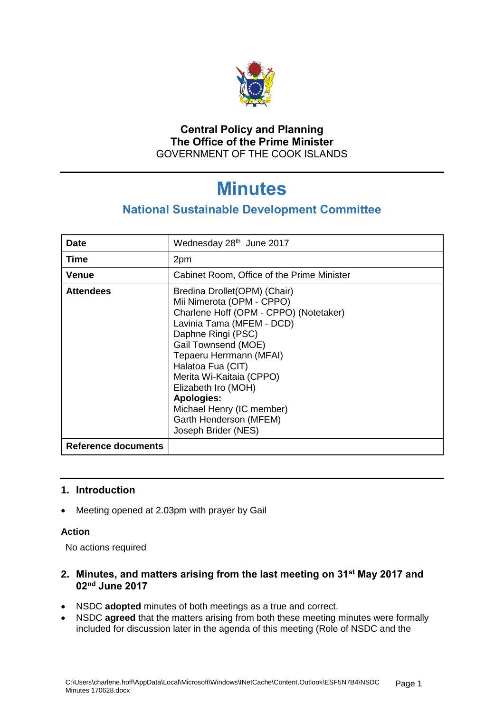

# **Central Policy and Planning The Office of the Prime Minister** GOVERNMENT OF THE COOK ISLANDS

# **Minutes**

# **National Sustainable Development Committee**

| <b>Date</b>         | Wednesday 28th June 2017                                                                                                                                                                                                                                                                                                                                                             |
|---------------------|--------------------------------------------------------------------------------------------------------------------------------------------------------------------------------------------------------------------------------------------------------------------------------------------------------------------------------------------------------------------------------------|
| <b>Time</b>         | 2pm                                                                                                                                                                                                                                                                                                                                                                                  |
| Venue               | Cabinet Room, Office of the Prime Minister                                                                                                                                                                                                                                                                                                                                           |
| <b>Attendees</b>    | Bredina Drollet (OPM) (Chair)<br>Mii Nimerota (OPM - CPPO)<br>Charlene Hoff (OPM - CPPO) (Notetaker)<br>Lavinia Tama (MFEM - DCD)<br>Daphne Ringi (PSC)<br>Gail Townsend (MOE)<br>Tepaeru Herrmann (MFAI)<br>Halatoa Fua (CIT)<br>Merita Wi-Kaitaia (CPPO)<br>Elizabeth Iro (MOH)<br><b>Apologies:</b><br>Michael Henry (IC member)<br>Garth Henderson (MFEM)<br>Joseph Brider (NES) |
| Reference documents |                                                                                                                                                                                                                                                                                                                                                                                      |

# **1. Introduction**

• Meeting opened at 2.03pm with prayer by Gail

#### **Action**

No actions required

# **2. Minutes, and matters arising from the last meeting on 31st May 2017 and 02nd June 2017**

- NSDC **adopted** minutes of both meetings as a true and correct.
- NSDC **agreed** that the matters arising from both these meeting minutes were formally included for discussion later in the agenda of this meeting (Role of NSDC and the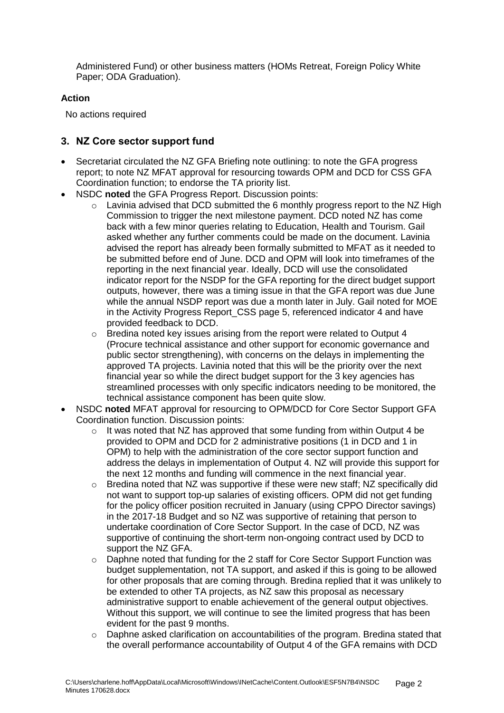Administered Fund) or other business matters (HOMs Retreat, Foreign Policy White Paper; ODA Graduation).

### **Action**

No actions required

## **3. NZ Core sector support fund**

- Secretariat circulated the NZ GFA Briefing note outlining: to note the GFA progress report; to note NZ MFAT approval for resourcing towards OPM and DCD for CSS GFA Coordination function; to endorse the TA priority list.
- NSDC **noted** the GFA Progress Report. Discussion points:
	- o Lavinia advised that DCD submitted the 6 monthly progress report to the NZ High Commission to trigger the next milestone payment. DCD noted NZ has come back with a few minor queries relating to Education, Health and Tourism. Gail asked whether any further comments could be made on the document. Lavinia advised the report has already been formally submitted to MFAT as it needed to be submitted before end of June. DCD and OPM will look into timeframes of the reporting in the next financial year. Ideally, DCD will use the consolidated indicator report for the NSDP for the GFA reporting for the direct budget support outputs, however, there was a timing issue in that the GFA report was due June while the annual NSDP report was due a month later in July. Gail noted for MOE in the Activity Progress Report CSS page 5, referenced indicator 4 and have provided feedback to DCD.
	- o Bredina noted key issues arising from the report were related to Output 4 (Procure technical assistance and other support for economic governance and public sector strengthening), with concerns on the delays in implementing the approved TA projects. Lavinia noted that this will be the priority over the next financial year so while the direct budget support for the 3 key agencies has streamlined processes with only specific indicators needing to be monitored, the technical assistance component has been quite slow.
- NSDC **noted** MFAT approval for resourcing to OPM/DCD for Core Sector Support GFA Coordination function. Discussion points:
	- $\circ$  It was noted that NZ has approved that some funding from within Output 4 be provided to OPM and DCD for 2 administrative positions (1 in DCD and 1 in OPM) to help with the administration of the core sector support function and address the delays in implementation of Output 4. NZ will provide this support for the next 12 months and funding will commence in the next financial year.
	- $\circ$  Bredina noted that NZ was supportive if these were new staff; NZ specifically did not want to support top-up salaries of existing officers. OPM did not get funding for the policy officer position recruited in January (using CPPO Director savings) in the 2017-18 Budget and so NZ was supportive of retaining that person to undertake coordination of Core Sector Support. In the case of DCD, NZ was supportive of continuing the short-term non-ongoing contract used by DCD to support the NZ GFA.
	- o Daphne noted that funding for the 2 staff for Core Sector Support Function was budget supplementation, not TA support, and asked if this is going to be allowed for other proposals that are coming through. Bredina replied that it was unlikely to be extended to other TA projects, as NZ saw this proposal as necessary administrative support to enable achievement of the general output objectives. Without this support, we will continue to see the limited progress that has been evident for the past 9 months.
	- $\circ$  Daphne asked clarification on accountabilities of the program. Bredina stated that the overall performance accountability of Output 4 of the GFA remains with DCD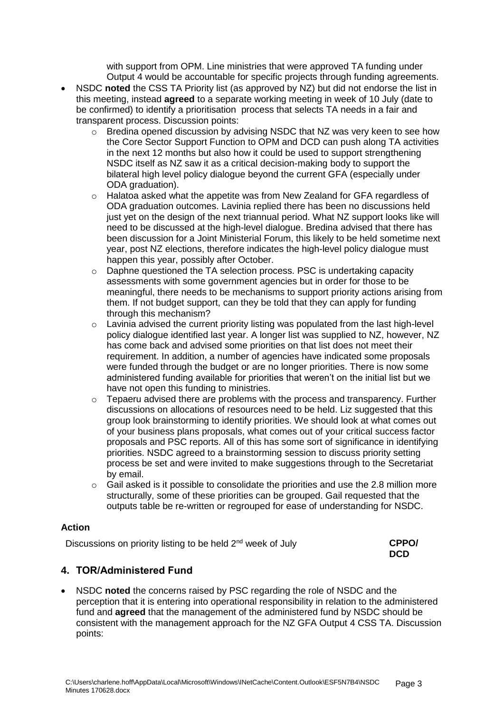with support from OPM. Line ministries that were approved TA funding under Output 4 would be accountable for specific projects through funding agreements.

- NSDC **noted** the CSS TA Priority list (as approved by NZ) but did not endorse the list in this meeting, instead **agreed** to a separate working meeting in week of 10 July (date to be confirmed) to identify a prioritisation process that selects TA needs in a fair and transparent process. Discussion points:
	- o Bredina opened discussion by advising NSDC that NZ was very keen to see how the Core Sector Support Function to OPM and DCD can push along TA activities in the next 12 months but also how it could be used to support strengthening NSDC itself as NZ saw it as a critical decision-making body to support the bilateral high level policy dialogue beyond the current GFA (especially under ODA graduation).
	- o Halatoa asked what the appetite was from New Zealand for GFA regardless of ODA graduation outcomes. Lavinia replied there has been no discussions held just yet on the design of the next triannual period. What NZ support looks like will need to be discussed at the high-level dialogue. Bredina advised that there has been discussion for a Joint Ministerial Forum, this likely to be held sometime next year, post NZ elections, therefore indicates the high-level policy dialogue must happen this year, possibly after October.
	- o Daphne questioned the TA selection process. PSC is undertaking capacity assessments with some government agencies but in order for those to be meaningful, there needs to be mechanisms to support priority actions arising from them. If not budget support, can they be told that they can apply for funding through this mechanism?
	- $\circ$  Lavinia advised the current priority listing was populated from the last high-level policy dialogue identified last year. A longer list was supplied to NZ, however, NZ has come back and advised some priorities on that list does not meet their requirement. In addition, a number of agencies have indicated some proposals were funded through the budget or are no longer priorities. There is now some administered funding available for priorities that weren't on the initial list but we have not open this funding to ministries.
	- $\circ$  Tepaeru advised there are problems with the process and transparency. Further discussions on allocations of resources need to be held. Liz suggested that this group look brainstorming to identify priorities. We should look at what comes out of your business plans proposals, what comes out of your critical success factor proposals and PSC reports. All of this has some sort of significance in identifying priorities. NSDC agreed to a brainstorming session to discuss priority setting process be set and were invited to make suggestions through to the Secretariat by email.
	- $\circ$  Gail asked is it possible to consolidate the priorities and use the 2.8 million more structurally, some of these priorities can be grouped. Gail requested that the outputs table be re-written or regrouped for ease of understanding for NSDC.

#### **Action**

Discussions on priority listing to be held 2<sup>nd</sup> week of July

| <b>CPPO/</b> |
|--------------|
| <b>DCD</b>   |

# **4. TOR/Administered Fund**

 NSDC **noted** the concerns raised by PSC regarding the role of NSDC and the perception that it is entering into operational responsibility in relation to the administered fund and **agreed** that the management of the administered fund by NSDC should be consistent with the management approach for the NZ GFA Output 4 CSS TA. Discussion points: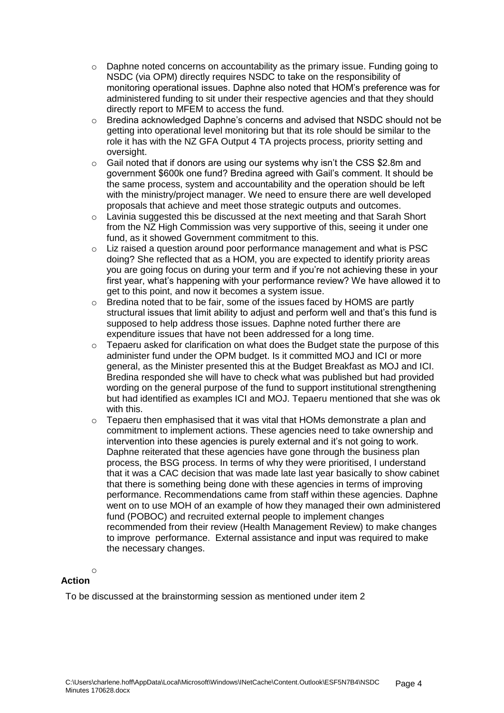- o Daphne noted concerns on accountability as the primary issue. Funding going to NSDC (via OPM) directly requires NSDC to take on the responsibility of monitoring operational issues. Daphne also noted that HOM's preference was for administered funding to sit under their respective agencies and that they should directly report to MFEM to access the fund.
- o Bredina acknowledged Daphne's concerns and advised that NSDC should not be getting into operational level monitoring but that its role should be similar to the role it has with the NZ GFA Output 4 TA projects process, priority setting and oversight.
- o Gail noted that if donors are using our systems why isn't the CSS \$2.8m and government \$600k one fund? Bredina agreed with Gail's comment. It should be the same process, system and accountability and the operation should be left with the ministry/project manager. We need to ensure there are well developed proposals that achieve and meet those strategic outputs and outcomes.
- $\circ$  Lavinia suggested this be discussed at the next meeting and that Sarah Short from the NZ High Commission was very supportive of this, seeing it under one fund, as it showed Government commitment to this.
- o Liz raised a question around poor performance management and what is PSC doing? She reflected that as a HOM, you are expected to identify priority areas you are going focus on during your term and if you're not achieving these in your first year, what's happening with your performance review? We have allowed it to get to this point, and now it becomes a system issue.
- $\circ$  Bredina noted that to be fair, some of the issues faced by HOMS are partly structural issues that limit ability to adjust and perform well and that's this fund is supposed to help address those issues. Daphne noted further there are expenditure issues that have not been addressed for a long time.
- $\circ$  Tepaeru asked for clarification on what does the Budget state the purpose of this administer fund under the OPM budget. Is it committed MOJ and ICI or more general, as the Minister presented this at the Budget Breakfast as MOJ and ICI. Bredina responded she will have to check what was published but had provided wording on the general purpose of the fund to support institutional strengthening but had identified as examples ICI and MOJ. Tepaeru mentioned that she was ok with this.
- o Tepaeru then emphasised that it was vital that HOMs demonstrate a plan and commitment to implement actions. These agencies need to take ownership and intervention into these agencies is purely external and it's not going to work. Daphne reiterated that these agencies have gone through the business plan process, the BSG process. In terms of why they were prioritised, I understand that it was a CAC decision that was made late last year basically to show cabinet that there is something being done with these agencies in terms of improving performance. Recommendations came from staff within these agencies. Daphne went on to use MOH of an example of how they managed their own administered fund (POBOC) and recruited external people to implement changes recommended from their review (Health Management Review) to make changes to improve performance. External assistance and input was required to make the necessary changes.

#### o **Action**

To be discussed at the brainstorming session as mentioned under item 2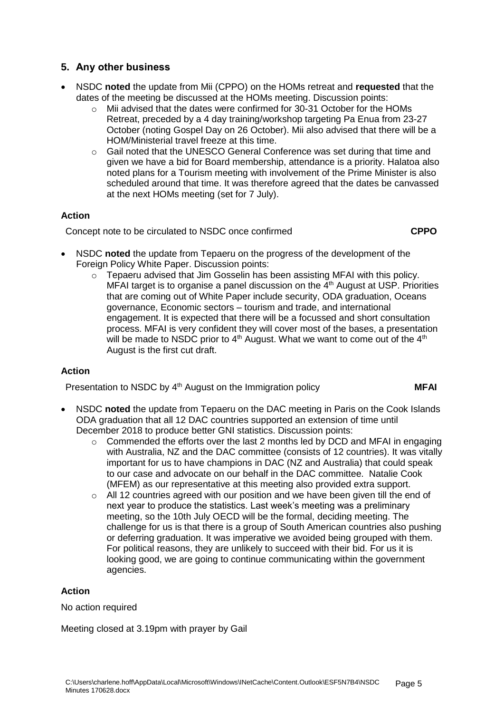# **5. Any other business**

- NSDC **noted** the update from Mii (CPPO) on the HOMs retreat and **requested** that the dates of the meeting be discussed at the HOMs meeting. Discussion points:
	- o Mii advised that the dates were confirmed for 30-31 October for the HOMs Retreat, preceded by a 4 day training/workshop targeting Pa Enua from 23-27 October (noting Gospel Day on 26 October). Mii also advised that there will be a HOM/Ministerial travel freeze at this time.
	- $\circ$  Gail noted that the UNESCO General Conference was set during that time and given we have a bid for Board membership, attendance is a priority. Halatoa also noted plans for a Tourism meeting with involvement of the Prime Minister is also scheduled around that time. It was therefore agreed that the dates be canvassed at the next HOMs meeting (set for 7 July).

# **Action**

Concept note to be circulated to NSDC once confirmed **CPPO**

- NSDC **noted** the update from Tepaeru on the progress of the development of the Foreign Policy White Paper. Discussion points:
	- $\circ$  Tepaeru advised that Jim Gosselin has been assisting MFAI with this policy. MFAI target is to organise a panel discussion on the  $4<sup>th</sup>$  August at USP. Priorities that are coming out of White Paper include security, ODA graduation, Oceans governance, Economic sectors – tourism and trade, and international engagement. It is expected that there will be a focussed and short consultation process. MFAI is very confident they will cover most of the bases, a presentation will be made to NSDC prior to  $4<sup>th</sup>$  August. What we want to come out of the  $4<sup>th</sup>$ August is the first cut draft.

# **Action**

Presentation to NSDC by 4<sup>th</sup> August on the Immigration policy **MFAI** 

- NSDC **noted** the update from Tepaeru on the DAC meeting in Paris on the Cook Islands ODA graduation that all 12 DAC countries supported an extension of time until December 2018 to produce better GNI statistics. Discussion points:
	- o Commended the efforts over the last 2 months led by DCD and MFAI in engaging with Australia, NZ and the DAC committee (consists of 12 countries). It was vitally important for us to have champions in DAC (NZ and Australia) that could speak to our case and advocate on our behalf in the DAC committee. Natalie Cook (MFEM) as our representative at this meeting also provided extra support.
	- o All 12 countries agreed with our position and we have been given till the end of next year to produce the statistics. Last week's meeting was a preliminary meeting, so the 10th July OECD will be the formal, deciding meeting. The challenge for us is that there is a group of South American countries also pushing or deferring graduation. It was imperative we avoided being grouped with them. For political reasons, they are unlikely to succeed with their bid. For us it is looking good, we are going to continue communicating within the government agencies.

# **Action**

No action required

Meeting closed at 3.19pm with prayer by Gail